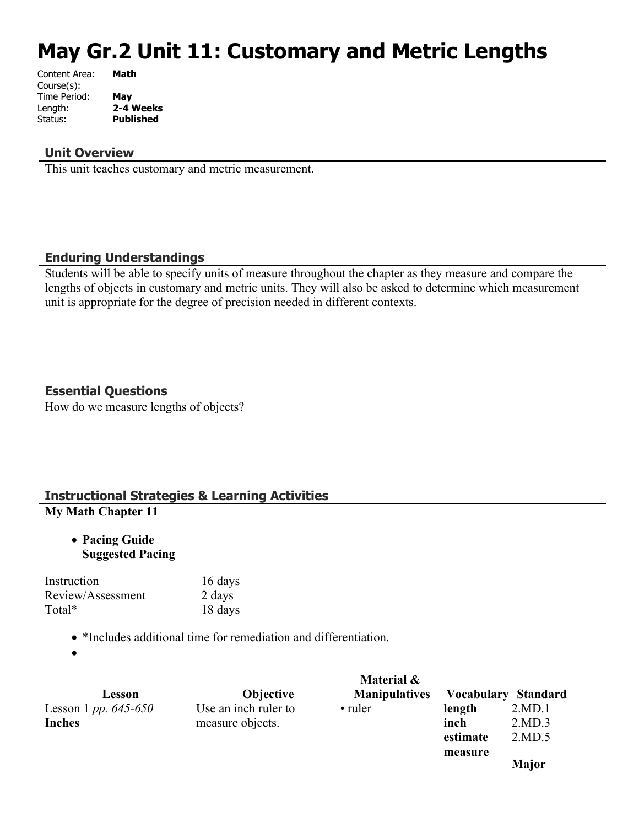# **May Gr.2 Unit 11: Customary and Metric Lengths**

| Content Area: | Math             |
|---------------|------------------|
| Course(s):    |                  |
| Time Period:  | May              |
| Length:       | 2-4 Weeks        |
| Status:       | <b>Published</b> |
|               |                  |

#### **Unit Overview**

This unit teaches customary and metric measurement.

#### **Enduring Understandings**

Students will be able to specify units of measure throughout the chapter as they measure and compare the lengths of objects in customary and metric units. They will also be asked to determine which measurement unit is appropriate for the degree of precision needed in different contexts.

#### **Essential Questions**

How do we measure lengths of objects?

# **Instructional Strategies & Learning Activities**

# **My Math Chapter 11**

 **Pacing Guide Suggested Pacing**

Instruction 16 days Review/Assessment 2 days Total\* 18 days

• \*Includes additional time for remediation and differentiation.

 $\bullet$ 

|                                 |                      | Material &           |                     |              |
|---------------------------------|----------------------|----------------------|---------------------|--------------|
| Lesson                          | <b>Objective</b>     | <b>Manipulatives</b> | Vocabulary Standard |              |
| Lesson 1 <i>pp.</i> $645 - 650$ | Use an inch ruler to | • ruler              | length              | 2.MD.1       |
| <b>Inches</b>                   | measure objects.     |                      | inch                | 2.MD.3       |
|                                 |                      |                      | estimate            | 2.MD.5       |
|                                 |                      |                      | measure             |              |
|                                 |                      |                      |                     | <b>Major</b> |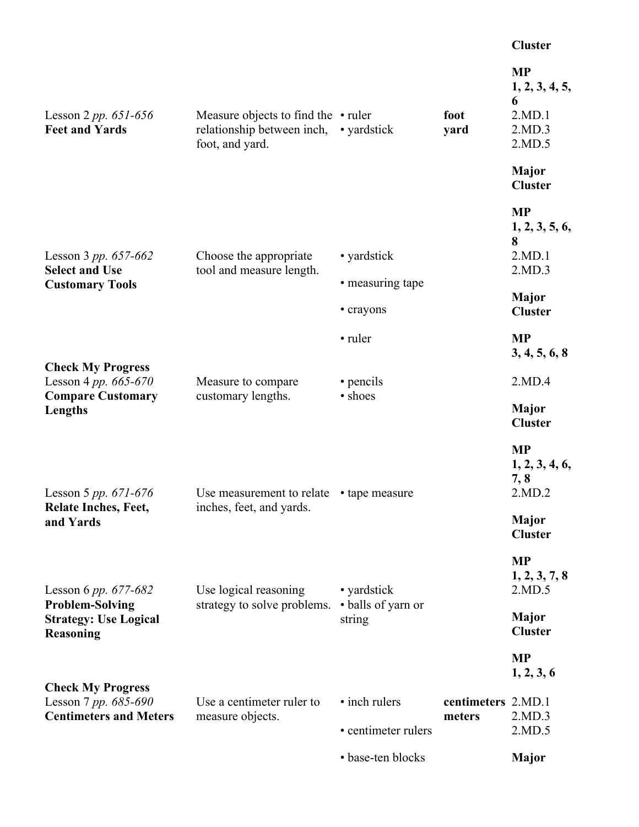#### **Cluster**

| Lesson 2 <i>pp.</i> $651 - 656$<br><b>Feet and Yards</b>                          | Measure objects to find the $\cdot$ ruler<br>relationship between inch,<br>foot, and yard. | • yardstick                   | foot<br>yard                 | <b>MP</b><br>1, 2, 3, 4, 5,<br>6<br>2.MD.1<br>2.MD.3<br>2.MD.5 |
|-----------------------------------------------------------------------------------|--------------------------------------------------------------------------------------------|-------------------------------|------------------------------|----------------------------------------------------------------|
|                                                                                   |                                                                                            |                               |                              | <b>Major</b><br><b>Cluster</b>                                 |
| Lesson 3 pp. $657-662$<br><b>Select and Use</b>                                   | Choose the appropriate<br>tool and measure length.                                         | • yardstick                   |                              | <b>MP</b><br>1, 2, 3, 5, 6,<br>8<br>2.MD.1<br>2.MD.3           |
| <b>Customary Tools</b>                                                            |                                                                                            | • measuring tape<br>• crayons |                              | <b>Major</b><br><b>Cluster</b>                                 |
|                                                                                   |                                                                                            | • ruler                       |                              | <b>MP</b><br>3, 4, 5, 6, 8                                     |
| <b>Check My Progress</b><br>Lesson 4 pp. 665-670                                  | Measure to compare                                                                         | • pencils                     |                              | 2.MD.4                                                         |
| <b>Compare Customary</b><br>Lengths                                               | customary lengths.                                                                         | • shoes                       |                              | <b>Major</b><br><b>Cluster</b>                                 |
| Lesson 5 pp. $671-676$                                                            | Use measurement to relate                                                                  | • tape measure                |                              | <b>MP</b><br>1, 2, 3, 4, 6,<br>7,8<br>2.MD.2                   |
| <b>Relate Inches, Feet,</b><br>and Yards<br>Lesson 6 pp. $677-682$                | inches, feet, and yards.<br>Use logical reasoning                                          | • yardstick                   |                              | <b>Major</b><br><b>Cluster</b>                                 |
|                                                                                   |                                                                                            |                               |                              | <b>MP</b><br>1, 2, 3, 7, 8<br>2.MD.5                           |
| <b>Problem-Solving</b><br><b>Strategy: Use Logical</b><br><b>Reasoning</b>        | strategy to solve problems.                                                                | • balls of yarn or<br>string  |                              | <b>Major</b><br><b>Cluster</b>                                 |
|                                                                                   |                                                                                            |                               |                              | <b>MP</b><br>1, 2, 3, 6                                        |
| <b>Check My Progress</b><br>Lesson 7 pp. 685-690<br><b>Centimeters and Meters</b> | Use a centimeter ruler to                                                                  | • inch rulers                 | centimeters 2.MD.1<br>meters | 2.MD.3                                                         |
|                                                                                   | measure objects.                                                                           | • centimeter rulers           |                              | 2.MD.5                                                         |
|                                                                                   |                                                                                            | • base-ten blocks             |                              | <b>Major</b>                                                   |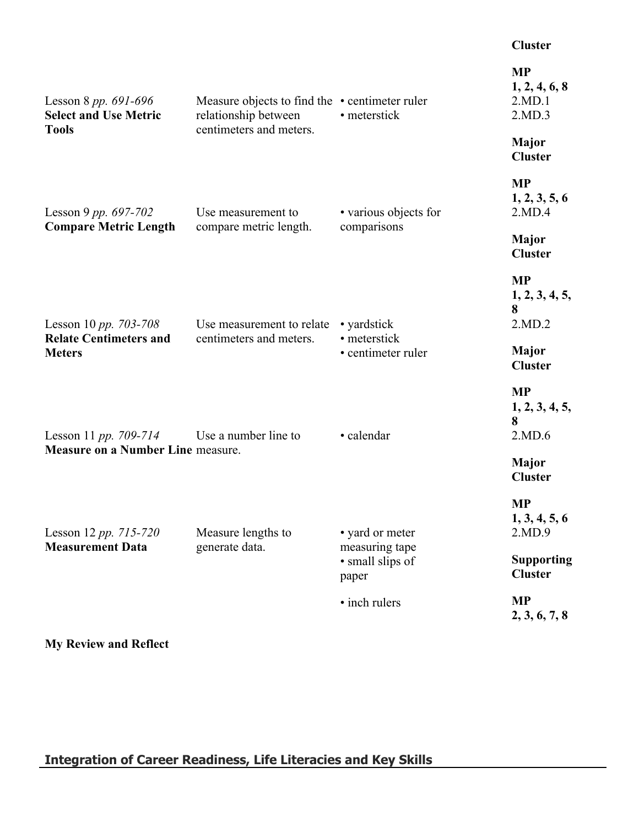#### **Cluster**

| Lesson 8 pp. $691-696$<br><b>Select and Use Metric</b> | Measure objects to find the $\cdot$ centimeter ruler<br>relationship between | • meterstick                                | <b>MP</b><br>1, 2, 4, 6, 8<br>2.MD.1<br>2.MD.3 |
|--------------------------------------------------------|------------------------------------------------------------------------------|---------------------------------------------|------------------------------------------------|
| <b>Tools</b>                                           | centimeters and meters.                                                      |                                             | <b>Major</b><br><b>Cluster</b>                 |
| Lesson 9 pp. $697-702$                                 | Use measurement to                                                           | • various objects for                       | <b>MP</b><br>1, 2, 3, 5, 6<br>2.MD.4           |
| <b>Compare Metric Length</b><br>Lesson 10 pp. 703-708  | compare metric length.<br>Use measurement to relate                          | comparisons                                 | <b>Major</b><br><b>Cluster</b>                 |
|                                                        |                                                                              | • yardstick                                 | <b>MP</b><br>1, 2, 3, 4, 5,<br>8<br>2.MD.2     |
| <b>Relate Centimeters and</b><br><b>Meters</b>         | centimeters and meters.                                                      | • meterstick<br>• centimeter ruler          | <b>Major</b><br><b>Cluster</b>                 |
| Lesson 11 pp. 709-714                                  | Use a number line to                                                         | • calendar                                  | <b>MP</b><br>1, 2, 3, 4, 5,<br>8<br>2.MD.6     |
| <b>Measure on a Number Line measure.</b>               |                                                                              |                                             | <b>Major</b><br><b>Cluster</b>                 |
| Lesson 12 pp. 715-720<br><b>Measurement Data</b>       | Measure lengths to<br>generate data.                                         | • yard or meter                             | <b>MP</b><br>1, 3, 4, 5, 6<br>2.MD.9           |
|                                                        |                                                                              | measuring tape<br>· small slips of<br>paper | <b>Supporting</b><br><b>Cluster</b>            |
|                                                        |                                                                              | • inch rulers                               | <b>MP</b><br>2, 3, 6, 7, 8                     |

**My Review and Reflect**

**Integration of Career Readiness, Life Literacies and Key Skills**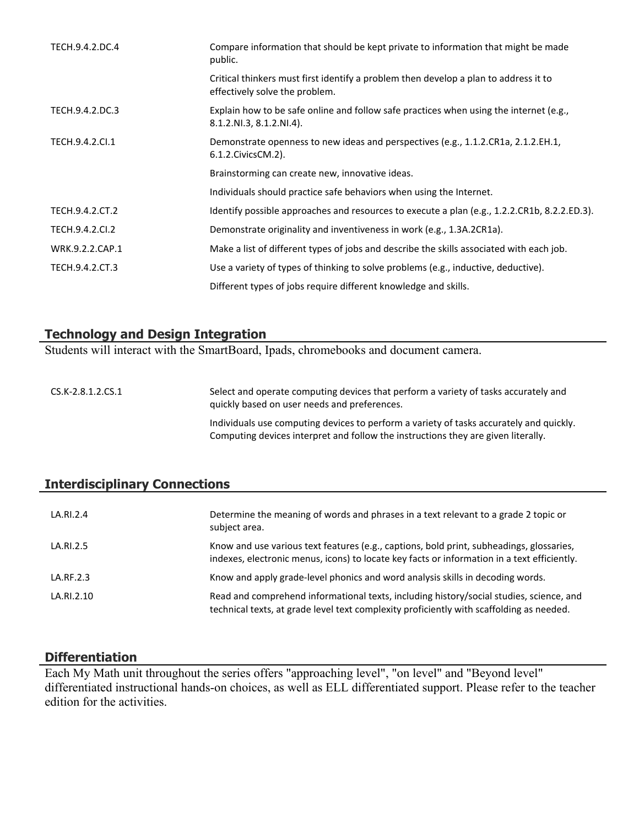| TECH.9.4.2.DC.4 | Compare information that should be kept private to information that might be made<br>public.                           |
|-----------------|------------------------------------------------------------------------------------------------------------------------|
|                 | Critical thinkers must first identify a problem then develop a plan to address it to<br>effectively solve the problem. |
| TECH.9.4.2.DC.3 | Explain how to be safe online and follow safe practices when using the internet (e.g.,<br>$8.1.2.NI.3, 8.1.2.NI.4$ .   |
| TECH.9.4.2.Cl.1 | Demonstrate openness to new ideas and perspectives (e.g., 1.1.2.CR1a, 2.1.2.EH.1,<br>6.1.2. Civics CM. 2).             |
|                 | Brainstorming can create new, innovative ideas.                                                                        |
|                 | Individuals should practice safe behaviors when using the Internet.                                                    |
| TECH.9.4.2.CT.2 | Identify possible approaches and resources to execute a plan (e.g., 1.2.2.CR1b, 8.2.2.ED.3).                           |
| TECH.9.4.2.Cl.2 | Demonstrate originality and inventiveness in work (e.g., 1.3A.2CR1a).                                                  |
| WRK.9.2.2.CAP.1 | Make a list of different types of jobs and describe the skills associated with each job.                               |
| TECH.9.4.2.CT.3 | Use a variety of types of thinking to solve problems (e.g., inductive, deductive).                                     |
|                 | Different types of jobs require different knowledge and skills.                                                        |

#### **Technology and Design Integration**

Students will interact with the SmartBoard, Ipads, chromebooks and document camera.

CS.K-2.8.1.2.CS.1 Select and operate computing devices that perform a variety of tasks accurately and quickly based on user needs and preferences. Individuals use computing devices to perform a variety of tasks accurately and quickly. Computing devices interpret and follow the instructions they are given literally.

## **Interdisciplinary Connections**

| LA.RI.2.4  | Determine the meaning of words and phrases in a text relevant to a grade 2 topic or<br>subject area.                                                                                    |
|------------|-----------------------------------------------------------------------------------------------------------------------------------------------------------------------------------------|
| LA.RI.2.5  | Know and use various text features (e.g., captions, bold print, subheadings, glossaries,<br>indexes, electronic menus, icons) to locate key facts or information in a text efficiently. |
| LA.RF.2.3  | Know and apply grade-level phonics and word analysis skills in decoding words.                                                                                                          |
| LA.RI.2.10 | Read and comprehend informational texts, including history/social studies, science, and<br>technical texts, at grade level text complexity proficiently with scaffolding as needed.     |

#### **Differentiation**

Each My Math unit throughout the series offers "approaching level", "on level" and "Beyond level" differentiated instructional hands-on choices, as well as ELL differentiated support. Please refer to the teacher edition for the activities.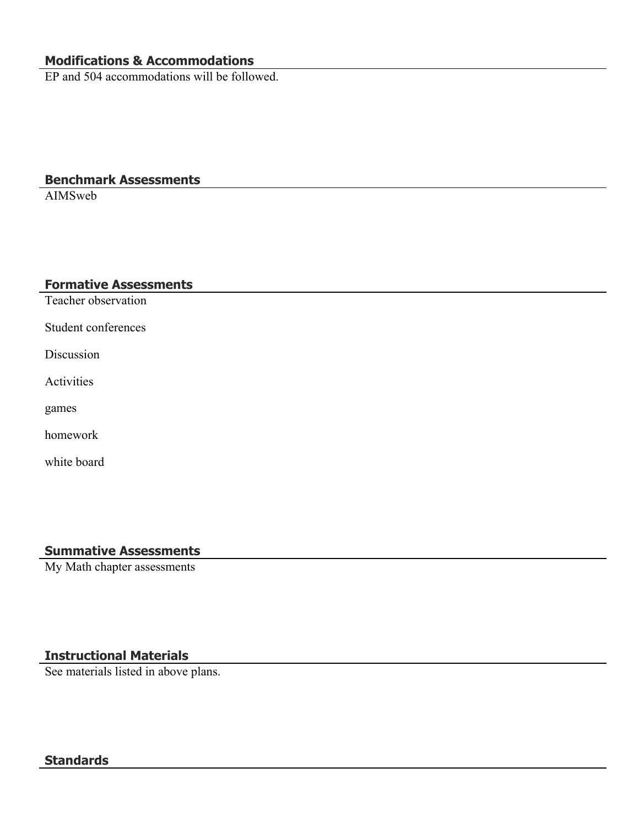# **Modifications & Accommodations**

EP and 504 accommodations will be followed.

# **Benchmark Assessments**

AIMSweb

#### **Formative Assessments**

Teacher observation

Student conferences

Discussion

Activities

games

homework

white board

# **Summative Assessments**

My Math chapter assessments

# **Instructional Materials**

See materials listed in above plans.

# **Standards**